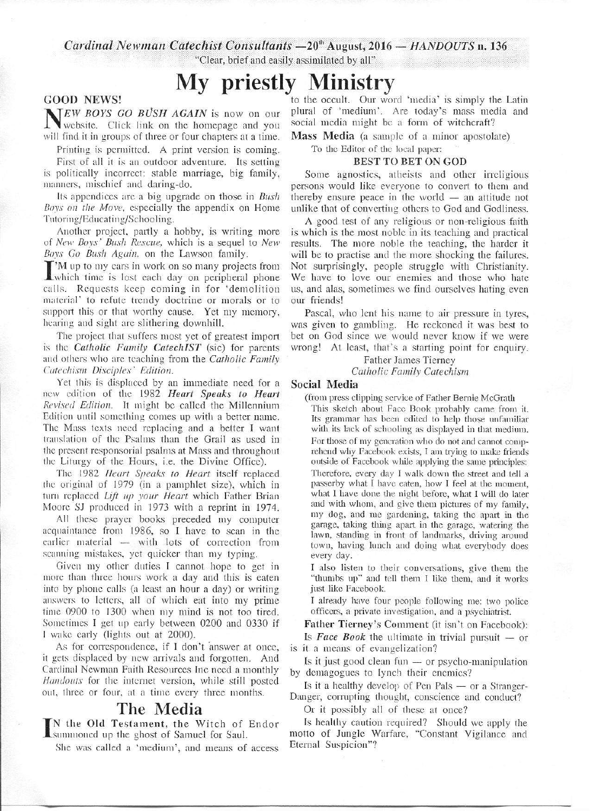*Cardinal Newman Catechist Consultants*  $-20$ <sup>\*</sup> August, 2016 *- HANDOUTS* n. 136

"Clear, brief and easily assimilated by all"

# **My priestly Ministry**

#### GOOD NEWS!

**NEW BOYS GO BUSH AGAIN** is now on our website. Click link on the homepage and you website. Click link on the homepage and you will find it in groups of three or four chapters at a time.

Printing is permitted. A print version is coming.

First of all it is an outdoor adventure. Its setting is politically incorrect: stable marriage, big family, manners, mischief and daring-do.

Its appendices arc a big upgrade on those in *Bush Bovs on the Move.* especially the appendix on Home Tutoring/Educating/Schooling.

Another project, partly a hobby, is writing more of *New Bovs · Bush Rescue,* which is a sequel to *New Boys Go Bush Again.* on the Lawson family.

or *New Boys Bush Rescue*, which is a sequel to *New Boys Go Bush Again*, on the Lawson family.<br>I'M up to my cars in work on so many projects from which time is lost each day on peripheral phone<br>calls. Boquests keep comi 'M up to my cars in work on so many projects from calls. Requests keep coming in for 'demolition material' to refute trendy doctrine or morals or to support this or that worthy cause. Yet my memory, hearing and sight arc slithering downhill.

The project that suffers most yet of greatest import is the *Catholic Family CatechIST* (sic) for parents and others who arc teaching from the *Catholic Family Catechism Disciples· Edition.* 

Yet this is displaced by an immediate need for a new edition of the 1982 *Heart Speaks to Heart Revised Edition.* It might be called the Millennium Edition until something comes up with a better name. The Mass texts need replacing and a better I want translation of the Psalms than the Grail as used in the present responsorinl psalms at Mass and throughout the Liturgy of the Hours, i.e. the Divine Office).

The 1982 *Heart Speaks to Heart* itself replaced the original of 1979 (in a pamphlet size), which in turn replaced *Lift 11p your Heart* which Father Brian Moore SJ produced in 1973 with a reprint in 1974.

All these prayer books preceded my computer acquaintance from 1986, so I have to scan in the earlier material — with lots of correction from scanning mistakes, yet quicker than my typing.

Given my other duties I cannot hope to get in more than three hours work a day and this is eaten into by phone calls (a least an hour a day) or writing answers to letters, all of which eat into my prime time  $0900$  to  $1300$  when my mind is not too tired. Sometimes I get up early between 0200 and 0330 if I wake early (lights out at 2000).

As for correspondence, if I don't answer at once, it gets displaced by new arrivals and forgotten. And Cardinal Newman Faith Resources Inc need a monthly *Handouts* for the internet version, while still posted out, three or four, at a time every three months.

### **The Media**

I<sub>Su</sub> the Old Testament, the Witch of Endor summoned up the ghost of Samuel for Saul.

She was called a 'medium', and means of access

to the occult. Our word 'media' is simply the Latin plural of 'medium'. Are today's mass media and social media might be a form of witchcraft?

Mass Media (a sample of a minor apostolate)

#### To the Editor of the local paper: BEST TO BET ON GOD

Some agnostics, atheists and other irreligious persons would like everyone to convert to them and thereby ensure peace in the world — an attitude not unlike that of converting others to God and Godliness.

A good test of any religious or non-religious faith is which is the most noble in its teaching and practical results. The more noble the teaching, the harder it will be to practise and the more shocking the failures. Not surprisingly, people struggle with Christianity. We have to love our enemies and those who hate us, and alas, sometimes we find ourselves hating even our friends!

Pascal, who lent his name to air pressure in tyres, was given to gambling. He reckoned it was best to bet on God since we would never know if we were wrong! At least, that's a starting point for enquiry.

Father James Tierney

*Catholic Family Catechism* 

#### Social Media

(from press clipping service of Father Bernie McGrath This sketch about Face Book probably came from it. Its grammar has been edited to help those unfamiliar with its lack of schooling as displayed in that medium. For those of my generation who do not and cannot comprehend why Facebook exists, I am trying to make friends outside of Facebook while applying the same principles: Therefore, every day I walk down the street and tell a passerby what I have eaten, how I feel at the moment, what I have done the night before, what I will do later and with whom, and give them pictures of my family, my dog, and me gardening, taking the apart in the garage, taking thing apart in the garage, watering the lawn, standing in front of landmarks, driving around town, having lunch and doing what everybody does every day.

I also listen to their conversations, give them the "thumbs up" and tell them I like them, and it works just like Facebook.

I already have four people following me: two police officers, a private investigation, mid a psychiatrist.

Father Tierney's Comment (it isn't on Facebook): Is *Face Book* the ultimate in trivial pursuit  $-$  or is it a means of evangelization?

Is it just good clean fun  $-$  or psycho-manipulation by demagogues to lynch their enemies?

Is it a healthy develop of Pen Pals  $-$  or a Stranger-Danger, corrupting thought, conscience and conduct?

Or it possibly all of these at once?

Is healthy caution required? Should we apply the motto of Jungle Warfare, "Constant Vigilance and Eternal Suspicion"?